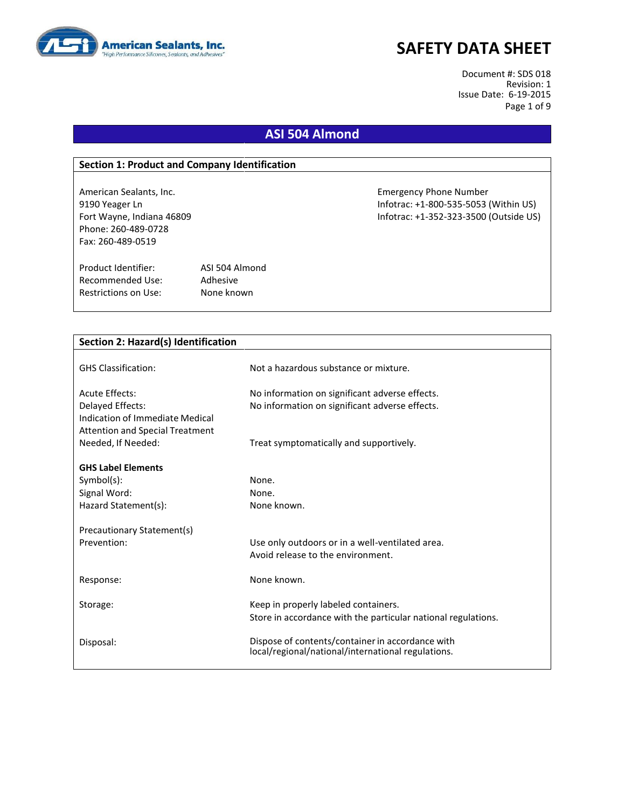

Document #: SDS 018 Revision: 1 Issue Date: 6-19-2015 Page 1 of 9

# **ASI 504 Almond**

### **Section 1: Product and Company Identification**

Phone: 260-489-0728 Fax: 260-489-0519

Product Identifier: ASI 504 Almond Recommended Use: Adhesive Restrictions on Use: None known

American Sealants, Inc. Emergency Phone Number 9190 Yeager Ln Infotrac: +1-800-535-5053 (Within US) Fort Wayne, Indiana 46809 Infotrac: +1-352-323-3500 (Outside US)

| Section 2: Hazard(s) Identification    |                                                               |
|----------------------------------------|---------------------------------------------------------------|
|                                        |                                                               |
| <b>GHS Classification:</b>             | Not a hazardous substance or mixture.                         |
| Acute Effects:                         | No information on significant adverse effects.                |
| Delayed Effects:                       | No information on significant adverse effects.                |
| Indication of Immediate Medical        |                                                               |
| <b>Attention and Special Treatment</b> |                                                               |
| Needed, If Needed:                     | Treat symptomatically and supportively.                       |
| <b>GHS Label Elements</b>              |                                                               |
| $Symbol(s)$ :                          | None.                                                         |
| Signal Word:                           | None.                                                         |
| Hazard Statement(s):                   | None known.                                                   |
| Precautionary Statement(s)             |                                                               |
| Prevention:                            | Use only outdoors or in a well-ventilated area.               |
|                                        | Avoid release to the environment.                             |
|                                        |                                                               |
| Response:                              | None known.                                                   |
| Storage:                               | Keep in properly labeled containers.                          |
|                                        | Store in accordance with the particular national regulations. |
|                                        | Dispose of contents/container in accordance with              |
| Disposal:                              | local/regional/national/international regulations.            |
|                                        |                                                               |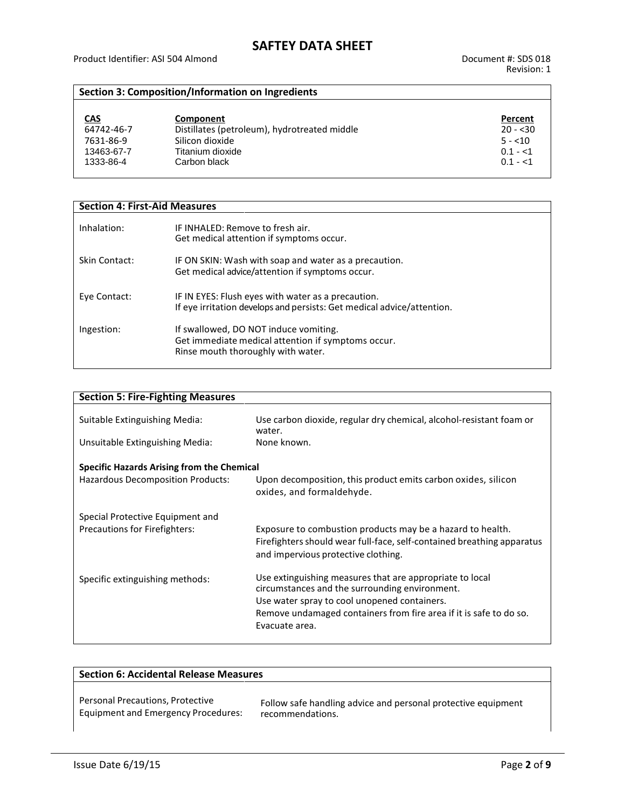### **Section 3: Composition/Information on Ingredients**

| <u>CAS</u> | Component                                    | Percent   |
|------------|----------------------------------------------|-----------|
| 64742-46-7 | Distillates (petroleum), hydrotreated middle | $20 - 30$ |
| 7631-86-9  | Silicon dioxide                              | $5 - 10$  |
| 13463-67-7 | Titanium dioxide                             | $0.1 - 1$ |
| 1333-86-4  | Carbon black                                 | $0.1 - 1$ |

| <b>Section 4: First-Aid Measures</b> |                                                                                                                                   |  |
|--------------------------------------|-----------------------------------------------------------------------------------------------------------------------------------|--|
| Inhalation:                          | IF INHALED: Remove to fresh air.<br>Get medical attention if symptoms occur.                                                      |  |
| Skin Contact:                        | IF ON SKIN: Wash with soap and water as a precaution.<br>Get medical advice/attention if symptoms occur.                          |  |
| Eye Contact:                         | IF IN EYES: Flush eyes with water as a precaution.<br>If eye irritation develops and persists: Get medical advice/attention.      |  |
| Ingestion:                           | If swallowed, DO NOT induce vomiting.<br>Get immediate medical attention if symptoms occur.<br>Rinse mouth thoroughly with water. |  |

| <b>Section 5: Fire-Fighting Measures</b>          |                                                                                                                                                                             |
|---------------------------------------------------|-----------------------------------------------------------------------------------------------------------------------------------------------------------------------------|
| Suitable Extinguishing Media:                     | Use carbon dioxide, regular dry chemical, alcohol-resistant foam or<br>water.                                                                                               |
| Unsuitable Extinguishing Media:                   | None known.                                                                                                                                                                 |
| <b>Specific Hazards Arising from the Chemical</b> |                                                                                                                                                                             |
| Hazardous Decomposition Products:                 | Upon decomposition, this product emits carbon oxides, silicon<br>oxides, and formaldehyde.                                                                                  |
| Special Protective Equipment and                  |                                                                                                                                                                             |
| Precautions for Firefighters:                     | Exposure to combustion products may be a hazard to health.<br>Firefighters should wear full-face, self-contained breathing apparatus<br>and impervious protective clothing. |
| Specific extinguishing methods:                   | Use extinguishing measures that are appropriate to local<br>circumstances and the surrounding environment.                                                                  |
|                                                   | Use water spray to cool unopened containers.                                                                                                                                |
|                                                   | Remove undamaged containers from fire area if it is safe to do so.                                                                                                          |
|                                                   | Evacuate area.                                                                                                                                                              |
|                                                   |                                                                                                                                                                             |

| <b>Section 6: Accidental Release Measures</b> |                                                               |
|-----------------------------------------------|---------------------------------------------------------------|
| Personal Precautions, Protective              | Follow safe handling advice and personal protective equipment |
| <b>Equipment and Emergency Procedures:</b>    | recommendations.                                              |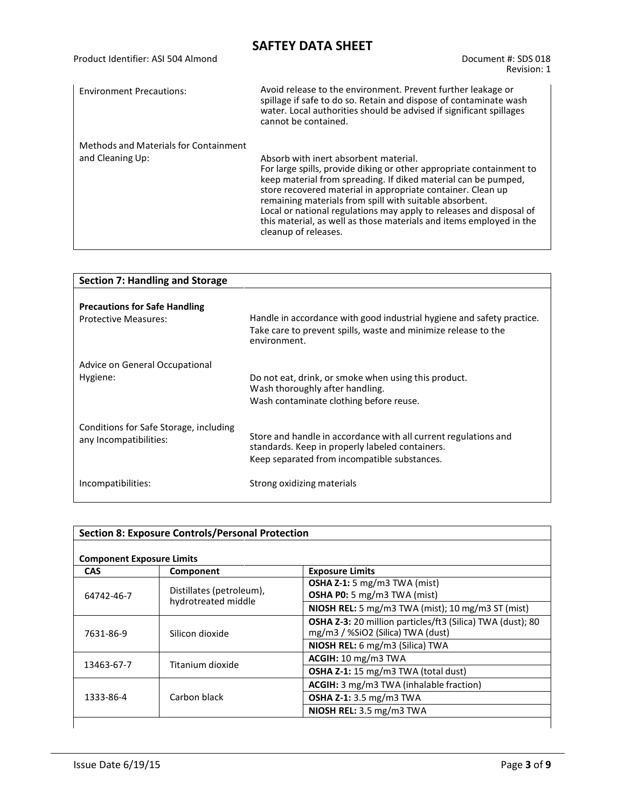| Product Identifier: ASI 504 Almond                               | Document #: SDS 018<br>Revision: 1                                                                                                                                                                                                                                                                                                                                                                                                                                              |
|------------------------------------------------------------------|---------------------------------------------------------------------------------------------------------------------------------------------------------------------------------------------------------------------------------------------------------------------------------------------------------------------------------------------------------------------------------------------------------------------------------------------------------------------------------|
| <b>Environment Precautions:</b>                                  | Avoid release to the environment. Prevent further leakage or<br>spillage if safe to do so. Retain and dispose of contaminate wash<br>water. Local authorities should be advised if significant spillages<br>cannot be contained.                                                                                                                                                                                                                                                |
| <b>Methods and Materials for Containment</b><br>and Cleaning Up: | Absorb with inert absorbent material.<br>For large spills, provide diking or other appropriate containment to<br>keep material from spreading. If diked material can be pumped,<br>store recovered material in appropriate container. Clean up<br>remaining materials from spill with suitable absorbent.<br>Local or national regulations may apply to releases and disposal of<br>this material, as well as those materials and items employed in the<br>cleanup of releases. |

| <b>Section 7: Handling and Storage</b>                              |                                                                                                                                          |
|---------------------------------------------------------------------|------------------------------------------------------------------------------------------------------------------------------------------|
| <b>Precautions for Safe Handling</b><br><b>Protective Measures:</b> | Handle in accordance with good industrial hygiene and safety practice.<br>Take care to prevent spills, waste and minimize release to the |
|                                                                     | environment.                                                                                                                             |
| Advice on General Occupational                                      |                                                                                                                                          |
| Hygiene:                                                            | Do not eat, drink, or smoke when using this product.<br>Wash thoroughly after handling.                                                  |
|                                                                     | Wash contaminate clothing before reuse.                                                                                                  |
| Conditions for Safe Storage, including                              |                                                                                                                                          |
| any Incompatibilities:                                              | Store and handle in accordance with all current regulations and<br>standards. Keep in properly labeled containers.                       |
|                                                                     | Keep separated from incompatible substances.                                                                                             |
| Incompatibilities:                                                  | Strong oxidizing materials                                                                                                               |

| <b>Section 8: Exposure Controls/Personal Protection</b><br><b>Component Exposure Limits</b> |                                                 |                                                                                                        |
|---------------------------------------------------------------------------------------------|-------------------------------------------------|--------------------------------------------------------------------------------------------------------|
| <b>CAS</b>                                                                                  | Component                                       | <b>Exposure Limits</b>                                                                                 |
| 64742-46-7                                                                                  | Distillates (petroleum),<br>hydrotreated middle | OSHA Z-1: 5 mg/m3 TWA (mist)<br>OSHA P0: 5 mg/m3 TWA (mist)                                            |
|                                                                                             |                                                 | NIOSH REL: 5 mg/m3 TWA (mist); 10 mg/m3 ST (mist)                                                      |
| 7631-86-9                                                                                   | Silicon dioxide                                 | <b>OSHA Z-3:</b> 20 million particles/ft3 (Silica) TWA (dust); 80<br>mg/m3 / %SiO2 (Silica) TWA (dust) |
|                                                                                             |                                                 | NIOSH REL: 6 mg/m3 (Silica) TWA                                                                        |
| Titanium dioxide<br>13463-67-7                                                              |                                                 | ACGH: 10 mg/m3 TWA                                                                                     |
|                                                                                             |                                                 | OSHA Z-1: 15 mg/m3 TWA (total dust)                                                                    |
| 1333-86-4                                                                                   |                                                 | ACGIH: 3 mg/m3 TWA (inhalable fraction)                                                                |
|                                                                                             | Carbon black                                    | <b>OSHA Z-1:</b> 3.5 mg/m3 TWA                                                                         |
|                                                                                             |                                                 | NIOSH REL: 3.5 mg/m3 TWA                                                                               |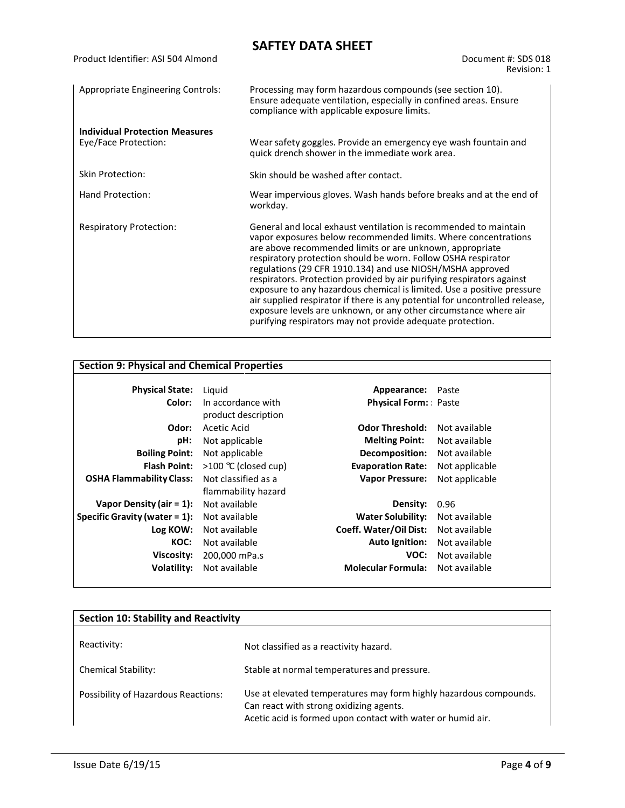| Product Identifier: ASI 504 Almond                            | Document #: SDS 018<br>Revision: 1                                                                                                                                                                                                                                                                                                                                                                                                                                                                                                                                                                                                                                                               |
|---------------------------------------------------------------|--------------------------------------------------------------------------------------------------------------------------------------------------------------------------------------------------------------------------------------------------------------------------------------------------------------------------------------------------------------------------------------------------------------------------------------------------------------------------------------------------------------------------------------------------------------------------------------------------------------------------------------------------------------------------------------------------|
| <b>Appropriate Engineering Controls:</b>                      | Processing may form hazardous compounds (see section 10).<br>Ensure adequate ventilation, especially in confined areas. Ensure<br>compliance with applicable exposure limits.                                                                                                                                                                                                                                                                                                                                                                                                                                                                                                                    |
| <b>Individual Protection Measures</b><br>Eye/Face Protection: | Wear safety goggles. Provide an emergency eye wash fountain and<br>quick drench shower in the immediate work area.                                                                                                                                                                                                                                                                                                                                                                                                                                                                                                                                                                               |
| <b>Skin Protection:</b>                                       | Skin should be washed after contact.                                                                                                                                                                                                                                                                                                                                                                                                                                                                                                                                                                                                                                                             |
| Hand Protection:                                              | Wear impervious gloves. Wash hands before breaks and at the end of<br>workday.                                                                                                                                                                                                                                                                                                                                                                                                                                                                                                                                                                                                                   |
| <b>Respiratory Protection:</b>                                | General and local exhaust ventilation is recommended to maintain<br>vapor exposures below recommended limits. Where concentrations<br>are above recommended limits or are unknown, appropriate<br>respiratory protection should be worn. Follow OSHA respirator<br>regulations (29 CFR 1910.134) and use NIOSH/MSHA approved<br>respirators. Protection provided by air purifying respirators against<br>exposure to any hazardous chemical is limited. Use a positive pressure<br>air supplied respirator if there is any potential for uncontrolled release,<br>exposure levels are unknown, or any other circumstance where air<br>purifying respirators may not provide adequate protection. |

# **Section 9: Physical and Chemical Properties**

| <b>Physical State:</b>           | Liguid              | Appearance: Paste           |                |
|----------------------------------|---------------------|-----------------------------|----------------|
|                                  |                     |                             |                |
| Color:                           | In accordance with  | <b>Physical Form:</b> Paste |                |
|                                  | product description |                             |                |
| Odor:                            | Acetic Acid         | <b>Odor Threshold:</b>      | Not available  |
| pH:                              | Not applicable      | <b>Melting Point:</b>       | Not available  |
| <b>Boiling Point:</b>            | Not applicable      | Decomposition:              | Not available  |
| <b>Flash Point:</b>              | >100 ℃ (closed cup) | <b>Evaporation Rate:</b>    | Not applicable |
| <b>OSHA Flammability Class:</b>  | Not classified as a | <b>Vapor Pressure:</b>      | Not applicable |
|                                  | flammability hazard |                             |                |
| Vapor Density (air = $1$ ):      | Not available       | Density:                    | 0.96           |
| Specific Gravity (water $= 1$ ): | Not available       | <b>Water Solubility:</b>    | Not available  |
| Log KOW:                         | Not available       | Coeff. Water/Oil Dist:      | Not available  |
| KOC:                             | Not available       | Auto Ignition:              | Not available  |
| Viscosity:                       | 200,000 mPa.s       | VOC:                        | Not available  |
| Volatility:                      | Not available       | <b>Molecular Formula:</b>   | Not available  |
|                                  |                     |                             |                |

| <b>Section 10: Stability and Reactivity</b> |                                                                                                                                                                             |  |
|---------------------------------------------|-----------------------------------------------------------------------------------------------------------------------------------------------------------------------------|--|
| Reactivity:                                 | Not classified as a reactivity hazard.                                                                                                                                      |  |
| <b>Chemical Stability:</b>                  | Stable at normal temperatures and pressure.                                                                                                                                 |  |
| Possibility of Hazardous Reactions:         | Use at elevated temperatures may form highly hazardous compounds.<br>Can react with strong oxidizing agents.<br>Acetic acid is formed upon contact with water or humid air. |  |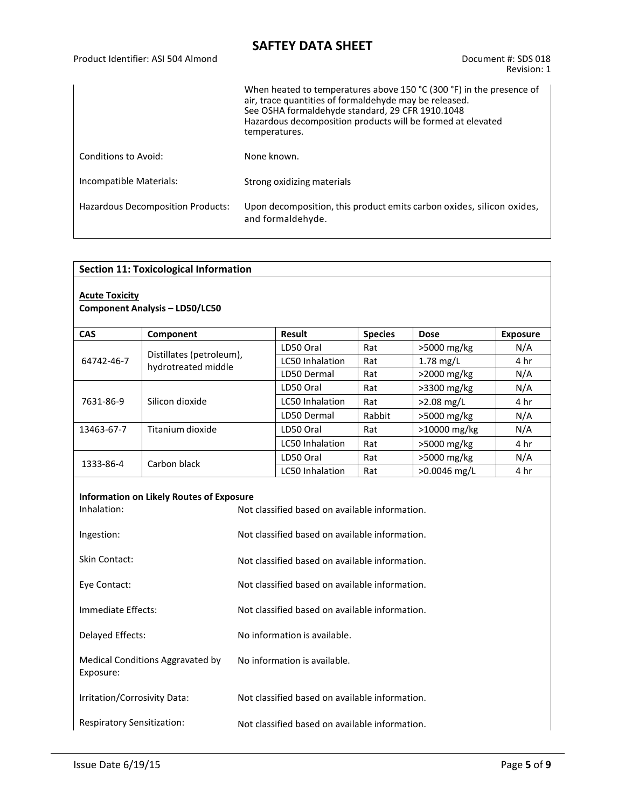|                                   | When heated to temperatures above 150 °C (300 °F) in the presence of<br>air, trace quantities of formaldehyde may be released.<br>See OSHA formaldehyde standard, 29 CFR 1910.1048<br>Hazardous decomposition products will be formed at elevated<br>temperatures. |
|-----------------------------------|--------------------------------------------------------------------------------------------------------------------------------------------------------------------------------------------------------------------------------------------------------------------|
| Conditions to Avoid:              | None known.                                                                                                                                                                                                                                                        |
| Incompatible Materials:           | Strong oxidizing materials                                                                                                                                                                                                                                         |
| Hazardous Decomposition Products: | Upon decomposition, this product emits carbon oxides, silicon oxides,<br>and formaldehyde.                                                                                                                                                                         |

| <b>Section 11: Toxicological Information</b> |  |
|----------------------------------------------|--|
|----------------------------------------------|--|

### **Acute Toxicity**

#### **Component Analysis – LD50/LC50**

| <b>CAS</b> | Component                | Result                 |                | <b>Dose</b>    |                 |
|------------|--------------------------|------------------------|----------------|----------------|-----------------|
|            |                          |                        | <b>Species</b> |                | <b>Exposure</b> |
| 64742-46-7 | Distillates (petroleum), | LD50 Oral              | Rat            | $>5000$ mg/kg  | N/A             |
|            | hydrotreated middle      | LC50 Inhalation        | Rat            | $1.78$ mg/L    | 4 hr            |
|            |                          | LD50 Dermal            | Rat            | $>$ 2000 mg/kg | N/A             |
|            |                          | LD50 Oral              | Rat            | >3300 mg/kg    | N/A             |
| 7631-86-9  | Silicon dioxide          | LC50 Inhalation        | Rat            | $>2.08$ mg/L   | 4 hr            |
|            |                          | LD50 Dermal            | Rabbit         | $>5000$ mg/kg  | N/A             |
| 13463-67-7 | Titanium dioxide         | LD50 Oral              | Rat            | $>10000$ mg/kg | N/A             |
|            |                          | LC50 Inhalation        | Rat            | $>5000$ mg/kg  | 4 hr            |
|            | Carbon black             | LD50 Oral              | Rat            | $>5000$ mg/kg  | N/A             |
| 1333-86-4  |                          | <b>LC50 Inhalation</b> | Rat            | $>0.0046$ mg/L | 4 hr            |

#### **Information on Likely Routes of Exposure**

| Inhalation:                                   | Not classified based on available information. |
|-----------------------------------------------|------------------------------------------------|
| Ingestion:                                    | Not classified based on available information. |
| Skin Contact:                                 | Not classified based on available information. |
| Eye Contact:                                  | Not classified based on available information. |
| Immediate Effects:                            | Not classified based on available information. |
| Delayed Effects:                              | No information is available.                   |
| Medical Conditions Aggravated by<br>Exposure: | No information is available.                   |
| Irritation/Corrosivity Data:                  | Not classified based on available information. |
| Respiratory Sensitization:                    | Not classified based on available information. |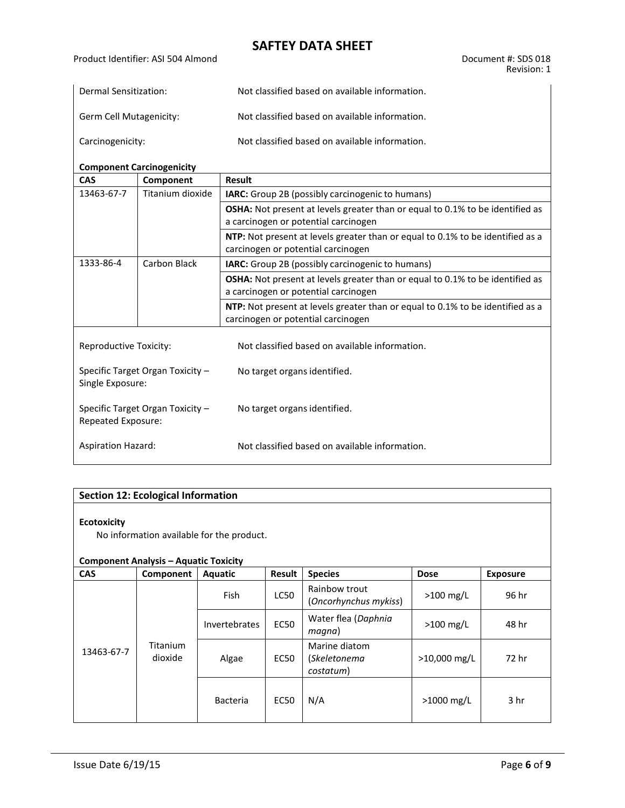| Dermal Sensitization:   | Not classified based on available information. |
|-------------------------|------------------------------------------------|
| Germ Cell Mutagenicity: | Not classified based on available information. |
| Carcinogenicity:        | Not classified based on available information. |

#### **Component Carcinogenicity**

|                                                        | component caremogenieity |                                                                                                                              |  |  |  |
|--------------------------------------------------------|--------------------------|------------------------------------------------------------------------------------------------------------------------------|--|--|--|
| <b>CAS</b>                                             | Component                | <b>Result</b>                                                                                                                |  |  |  |
| 13463-67-7                                             | Titanium dioxide         | <b>IARC:</b> Group 2B (possibly carcinogenic to humans)                                                                      |  |  |  |
|                                                        |                          | <b>OSHA:</b> Not present at levels greater than or equal to 0.1% to be identified as<br>a carcinogen or potential carcinogen |  |  |  |
|                                                        |                          | <b>NTP:</b> Not present at levels greater than or equal to 0.1% to be identified as a<br>carcinogen or potential carcinogen  |  |  |  |
| 1333-86-4                                              | Carbon Black             | <b>IARC:</b> Group 2B (possibly carcinogenic to humans)                                                                      |  |  |  |
|                                                        |                          | <b>OSHA:</b> Not present at levels greater than or equal to 0.1% to be identified as<br>a carcinogen or potential carcinogen |  |  |  |
|                                                        |                          | <b>NTP:</b> Not present at levels greater than or equal to 0.1% to be identified as a<br>carcinogen or potential carcinogen  |  |  |  |
| Reproductive Toxicity:                                 |                          | Not classified based on available information.                                                                               |  |  |  |
| Specific Target Organ Toxicity -<br>Single Exposure:   |                          | No target organs identified.                                                                                                 |  |  |  |
| Specific Target Organ Toxicity -<br>Repeated Exposure: |                          | No target organs identified.                                                                                                 |  |  |  |
| <b>Aspiration Hazard:</b>                              |                          | Not classified based on available information.                                                                               |  |  |  |

### **Section 12: Ecological Information**

#### **Ecotoxicity**

No information available for the product.

#### **Component Analysis – Aquatic Toxicity**

| <b>CAS</b> | Component           | Aquatic                 | Result | <b>Species</b>                             | <b>Dose</b>    | <b>Exposure</b> |
|------------|---------------------|-------------------------|--------|--------------------------------------------|----------------|-----------------|
| 13463-67-7 | Titanium<br>dioxide | <b>Fish</b>             | LC50   | Rainbow trout<br>(Oncorhynchus mykiss)     | $>100$ mg/L    | 96 hr           |
|            |                     | <b>Invertebrates</b>    | EC50   | Water flea (Daphnia<br>magna)              | $>100$ mg/L    | 48 hr           |
|            |                     | Algae                   | EC50   | Marine diatom<br>(Skeletonema<br>costatum) | $>10,000$ mg/L | 72 hr           |
|            |                     | N/A<br>EC50<br>Bacteria |        |                                            | $>1000$ mg/L   | 3 <sub>hr</sub> |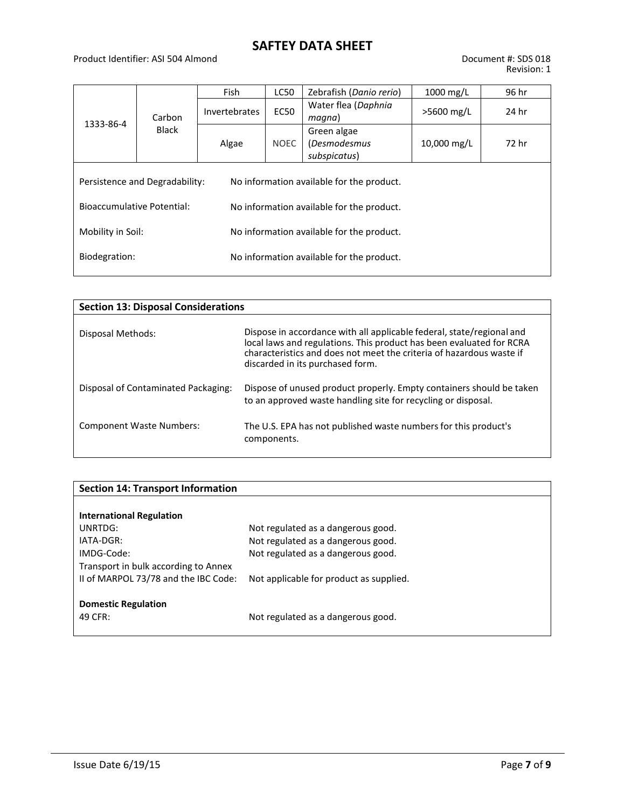### Product Identifier: ASI 504 Almond Document #: SDS 018

| 1333-86-4                                                                   | Carbon<br><b>Black</b> | Fish                 | <b>LC50</b>                               | Zebrafish (Danio rerio)                            | $1000$ mg/L  | 96 hr |  |
|-----------------------------------------------------------------------------|------------------------|----------------------|-------------------------------------------|----------------------------------------------------|--------------|-------|--|
|                                                                             |                        | <b>Invertebrates</b> | <b>EC50</b>                               | Water flea (Daphnia<br>magna)                      | $>5600$ mg/L | 24 hr |  |
|                                                                             |                        | Algae                | <b>NOEC</b>                               | Green algae<br><i>(Desmodesmus</i><br>subspicatus) | 10,000 mg/L  | 72 hr |  |
| Persistence and Degradability:<br>No information available for the product. |                        |                      |                                           |                                                    |              |       |  |
| Bioaccumulative Potential:<br>No information available for the product.     |                        |                      |                                           |                                                    |              |       |  |
| Mobility in Soil:<br>No information available for the product.              |                        |                      |                                           |                                                    |              |       |  |
| Biodegration:                                                               |                        |                      | No information available for the product. |                                                    |              |       |  |
|                                                                             |                        |                      |                                           |                                                    |              |       |  |

| <b>Section 13: Disposal Considerations</b> |                                                                                                                                                                                                                                                           |  |  |  |  |  |
|--------------------------------------------|-----------------------------------------------------------------------------------------------------------------------------------------------------------------------------------------------------------------------------------------------------------|--|--|--|--|--|
| Disposal Methods:                          | Dispose in accordance with all applicable federal, state/regional and<br>local laws and regulations. This product has been evaluated for RCRA<br>characteristics and does not meet the criteria of hazardous waste if<br>discarded in its purchased form. |  |  |  |  |  |
| Disposal of Contaminated Packaging:        | Dispose of unused product properly. Empty containers should be taken<br>to an approved waste handling site for recycling or disposal.                                                                                                                     |  |  |  |  |  |
| <b>Component Waste Numbers:</b>            | The U.S. EPA has not published waste numbers for this product's<br>components.                                                                                                                                                                            |  |  |  |  |  |

| <b>Section 14: Transport Information</b> |                                         |
|------------------------------------------|-----------------------------------------|
|                                          |                                         |
| <b>International Regulation</b>          |                                         |
| UNRTDG:                                  | Not regulated as a dangerous good.      |
| $IATA-DGR:$                              | Not regulated as a dangerous good.      |
| IMDG-Code:                               | Not regulated as a dangerous good.      |
| Transport in bulk according to Annex     |                                         |
| II of MARPOL 73/78 and the IBC Code:     | Not applicable for product as supplied. |
|                                          |                                         |
| <b>Domestic Regulation</b>               |                                         |
| 49 CFR:                                  | Not regulated as a dangerous good.      |
|                                          |                                         |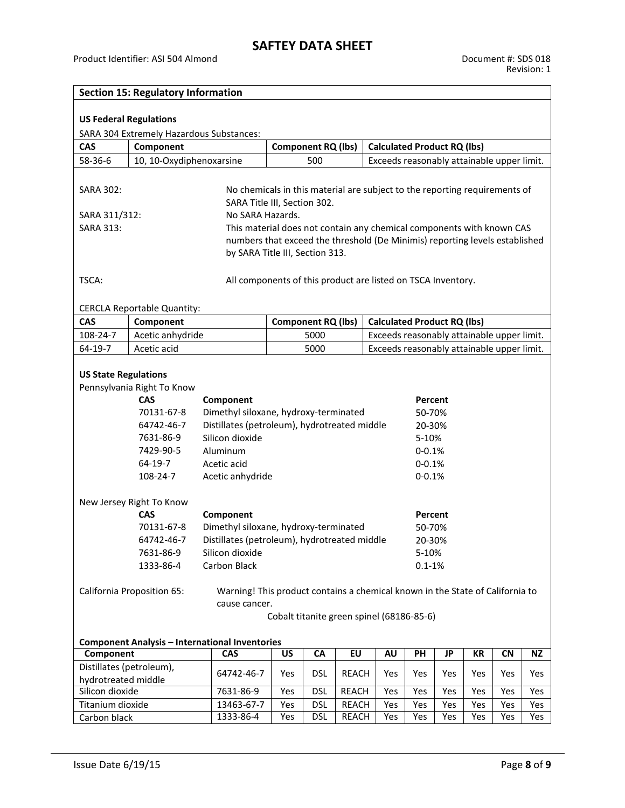| <b>Section 15: Regulatory Information</b>                                                               |                                                                              |                                                                               |     |                           |              |  |     |                                    |     |     |                                            |     |
|---------------------------------------------------------------------------------------------------------|------------------------------------------------------------------------------|-------------------------------------------------------------------------------|-----|---------------------------|--------------|--|-----|------------------------------------|-----|-----|--------------------------------------------|-----|
|                                                                                                         |                                                                              |                                                                               |     |                           |              |  |     |                                    |     |     |                                            |     |
| <b>US Federal Regulations</b>                                                                           |                                                                              |                                                                               |     |                           |              |  |     |                                    |     |     |                                            |     |
|                                                                                                         | SARA 304 Extremely Hazardous Substances:                                     |                                                                               |     |                           |              |  |     |                                    |     |     |                                            |     |
| <b>CAS</b>                                                                                              | Component<br><b>Component RQ (lbs)</b><br><b>Calculated Product RQ (lbs)</b> |                                                                               |     |                           |              |  |     |                                    |     |     |                                            |     |
| 58-36-6                                                                                                 | 10, 10-Oxydiphenoxarsine                                                     |                                                                               |     | 500                       |              |  |     |                                    |     |     | Exceeds reasonably attainable upper limit. |     |
|                                                                                                         |                                                                              |                                                                               |     |                           |              |  |     |                                    |     |     |                                            |     |
|                                                                                                         |                                                                              |                                                                               |     |                           |              |  |     |                                    |     |     |                                            |     |
| SARA 302:                                                                                               |                                                                              | No chemicals in this material are subject to the reporting requirements of    |     |                           |              |  |     |                                    |     |     |                                            |     |
|                                                                                                         |                                                                              | SARA Title III, Section 302.                                                  |     |                           |              |  |     |                                    |     |     |                                            |     |
| SARA 311/312:                                                                                           |                                                                              | No SARA Hazards.                                                              |     |                           |              |  |     |                                    |     |     |                                            |     |
| SARA 313:                                                                                               |                                                                              | This material does not contain any chemical components with known CAS         |     |                           |              |  |     |                                    |     |     |                                            |     |
|                                                                                                         |                                                                              | numbers that exceed the threshold (De Minimis) reporting levels established   |     |                           |              |  |     |                                    |     |     |                                            |     |
|                                                                                                         |                                                                              | by SARA Title III, Section 313.                                               |     |                           |              |  |     |                                    |     |     |                                            |     |
|                                                                                                         |                                                                              |                                                                               |     |                           |              |  |     |                                    |     |     |                                            |     |
| TSCA:                                                                                                   |                                                                              | All components of this product are listed on TSCA Inventory.                  |     |                           |              |  |     |                                    |     |     |                                            |     |
|                                                                                                         |                                                                              |                                                                               |     |                           |              |  |     |                                    |     |     |                                            |     |
|                                                                                                         | <b>CERCLA Reportable Quantity:</b>                                           |                                                                               |     |                           |              |  |     |                                    |     |     |                                            |     |
| <b>CAS</b>                                                                                              | Component                                                                    |                                                                               |     | <b>Component RQ (lbs)</b> |              |  |     | <b>Calculated Product RQ (lbs)</b> |     |     |                                            |     |
| 108-24-7                                                                                                | Acetic anhydride                                                             |                                                                               |     | 5000                      |              |  |     |                                    |     |     | Exceeds reasonably attainable upper limit. |     |
| 64-19-7                                                                                                 | Acetic acid                                                                  |                                                                               |     | 5000                      |              |  |     |                                    |     |     | Exceeds reasonably attainable upper limit. |     |
|                                                                                                         |                                                                              |                                                                               |     |                           |              |  |     |                                    |     |     |                                            |     |
| <b>US State Regulations</b>                                                                             |                                                                              |                                                                               |     |                           |              |  |     |                                    |     |     |                                            |     |
|                                                                                                         | Pennsylvania Right To Know                                                   |                                                                               |     |                           |              |  |     |                                    |     |     |                                            |     |
|                                                                                                         | <b>CAS</b>                                                                   | Component                                                                     |     |                           |              |  |     | Percent                            |     |     |                                            |     |
|                                                                                                         | 70131-67-8                                                                   | Dimethyl siloxane, hydroxy-terminated                                         |     |                           |              |  |     | 50-70%                             |     |     |                                            |     |
|                                                                                                         | 64742-46-7                                                                   | Distillates (petroleum), hydrotreated middle                                  |     |                           |              |  |     | 20-30%                             |     |     |                                            |     |
|                                                                                                         | 7631-86-9                                                                    | Silicon dioxide                                                               |     |                           |              |  |     | 5-10%                              |     |     |                                            |     |
|                                                                                                         | 7429-90-5                                                                    | Aluminum                                                                      |     |                           |              |  |     | $0 - 0.1%$                         |     |     |                                            |     |
|                                                                                                         | 64-19-7                                                                      | Acetic acid                                                                   |     |                           |              |  |     | $0 - 0.1%$                         |     |     |                                            |     |
|                                                                                                         | 108-24-7                                                                     |                                                                               |     |                           |              |  |     |                                    |     |     |                                            |     |
|                                                                                                         |                                                                              | Acetic anhydride                                                              |     |                           |              |  |     | $0 - 0.1%$                         |     |     |                                            |     |
|                                                                                                         |                                                                              |                                                                               |     |                           |              |  |     |                                    |     |     |                                            |     |
|                                                                                                         | New Jersey Right To Know                                                     |                                                                               |     |                           |              |  |     |                                    |     |     |                                            |     |
|                                                                                                         | <b>CAS</b>                                                                   | Component                                                                     |     |                           |              |  |     | Percent                            |     |     |                                            |     |
|                                                                                                         | 70131-67-8                                                                   | Dimethyl siloxane, hydroxy-terminated                                         |     |                           |              |  |     | 50-70%                             |     |     |                                            |     |
|                                                                                                         | 64742-46-7                                                                   | Distillates (petroleum), hydrotreated middle                                  |     |                           |              |  |     | 20-30%                             |     |     |                                            |     |
|                                                                                                         | 7631-86-9                                                                    | Silicon dioxide                                                               |     |                           |              |  |     | 5-10%                              |     |     |                                            |     |
|                                                                                                         | 1333-86-4                                                                    | Carbon Black                                                                  |     |                           |              |  |     | $0.1 - 1%$                         |     |     |                                            |     |
|                                                                                                         |                                                                              |                                                                               |     |                           |              |  |     |                                    |     |     |                                            |     |
|                                                                                                         | California Proposition 65:                                                   | Warning! This product contains a chemical known in the State of California to |     |                           |              |  |     |                                    |     |     |                                            |     |
|                                                                                                         |                                                                              | cause cancer.                                                                 |     |                           |              |  |     |                                    |     |     |                                            |     |
|                                                                                                         | Cobalt titanite green spinel (68186-85-6)                                    |                                                                               |     |                           |              |  |     |                                    |     |     |                                            |     |
|                                                                                                         |                                                                              |                                                                               |     |                           |              |  |     |                                    |     |     |                                            |     |
|                                                                                                         | <b>Component Analysis - International Inventories</b>                        |                                                                               |     |                           |              |  |     |                                    |     |     |                                            |     |
| Component                                                                                               |                                                                              | CAS                                                                           | US  | CA                        | EU           |  | AU  | PH                                 | JP  | KR  | <b>CN</b>                                  | NZ  |
| Distillates (petroleum),<br>64742-46-7<br><b>DSL</b><br>REACH<br>Yes<br>Yes<br>Yes<br>Yes<br>Yes<br>Yes |                                                                              |                                                                               |     |                           |              |  | Yes |                                    |     |     |                                            |     |
| hydrotreated middle                                                                                     |                                                                              |                                                                               |     |                           |              |  |     |                                    |     |     |                                            |     |
| Silicon dioxide                                                                                         |                                                                              | 7631-86-9                                                                     | Yes | <b>DSL</b>                | <b>REACH</b> |  | Yes | Yes                                | Yes | Yes | Yes                                        | Yes |
| Titanium dioxide                                                                                        |                                                                              | 13463-67-7                                                                    | Yes | <b>DSL</b>                | <b>REACH</b> |  | Yes | Yes                                | Yes | Yes | Yes                                        | Yes |
| Carbon black                                                                                            |                                                                              | 1333-86-4                                                                     | Yes | <b>DSL</b>                | <b>REACH</b> |  | Yes | Yes                                | Yes | Yes | Yes                                        | Yes |